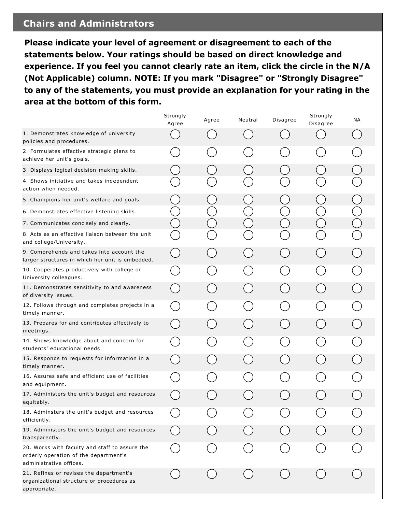## **Chairs and Administrators**

**Please indicate your level of agreement or disagreement to each of the statements below. Your ratings should be based on direct knowledge and experience. If you feel you cannot clearly rate an item, click the circle in the N/A (Not Applicable) column. NOTE: If you mark "Disagree" or "Strongly Disagree" to any of the statements, you must provide an explanation for your rating in the area at the bottom of this form.**

|                                                                                                                    | Strongly<br>Agree | Agree | Neutral | Disagree | Strongly<br>Disagree | ΝA |
|--------------------------------------------------------------------------------------------------------------------|-------------------|-------|---------|----------|----------------------|----|
| 1. Demonstrates knowledge of university<br>policies and procedures.                                                |                   |       |         |          |                      |    |
| 2. Formulates effective strategic plans to<br>achieve her unit's goals.                                            |                   |       |         |          |                      |    |
| 3. Displays logical decision-making skills.                                                                        |                   |       |         |          |                      |    |
| 4. Shows initiative and takes independent<br>action when needed.                                                   |                   |       |         |          |                      |    |
| 5. Champions her unit's welfare and goals.                                                                         |                   |       |         |          |                      |    |
| 6. Demonstrates effective listening skills.                                                                        |                   |       |         |          |                      |    |
| 7. Communicates concisely and clearly.                                                                             |                   |       |         |          |                      |    |
| 8. Acts as an effective liaison between the unit<br>and college/University.                                        |                   |       |         |          |                      |    |
| 9. Comprehends and takes into account the<br>larger structures in which her unit is embedded.                      |                   |       |         |          |                      |    |
| 10. Cooperates productively with college or<br>University colleagues.                                              |                   |       |         |          |                      |    |
| 11. Demonstrates sensitivity to and awareness<br>of diversity issues.                                              |                   |       |         |          |                      |    |
| 12. Follows through and completes projects in a<br>timely manner.                                                  |                   |       |         |          |                      |    |
| 13. Prepares for and contributes effectively to<br>meetings.                                                       |                   |       |         |          |                      |    |
| 14. Shows knowledge about and concern for<br>students' educational needs.                                          |                   |       |         |          |                      |    |
| 15. Responds to requests for information in a<br>timely manner.                                                    |                   |       |         |          |                      |    |
| 16. Assures safe and efficient use of facilities<br>and equipment.                                                 |                   |       |         |          |                      |    |
| 17. Administers the unit's budget and resources<br>equitably.                                                      |                   |       |         |          |                      |    |
| 18. Adminsters the unit's budget and resources<br>efficiently.                                                     |                   |       |         |          |                      |    |
| 19. Administers the unit's budget and resources<br>transparently.                                                  |                   |       |         |          |                      |    |
| 20. Works with faculty and staff to assure the<br>orderly operation of the department's<br>administrative offices. |                   |       |         |          |                      |    |
| 21. Refines or revises the department's<br>organizational structure or procedures as<br>appropriate.               |                   |       |         |          |                      |    |